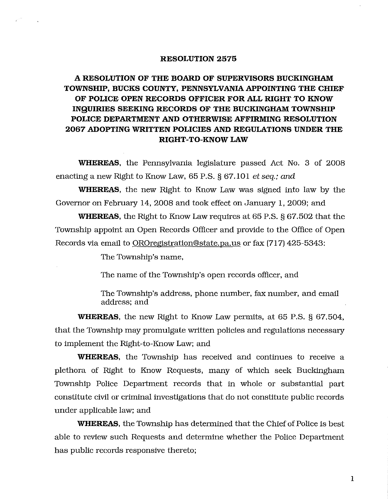## **RESOLUTION 2575**

## **A RESOLUTION OF THE BOARD OF SUPERVISORS BUCKINGHAM TOWNSHIP, BUCKS COUNTY,** PENNSYLVANIA APPOINTING **THE CHIEF OF POLICE OPEN RECORDS OFFICER FOR ALL RIGHT TO KNOW INQUIRIES SEEKING RECORDS OF THE BUCKINGHAM TOWNSHIP POLICE DEPARTMENT AND OTHERWISE AFFIRMING RESOLUTION 2067 ADOPTING WRITTEN POLICIES AND REGULATIONS UNDER THE RIGHT-TO-KNOW LAW**

**WHEREAS,** the Pennsylvania legislature passed Act No. 3 of 2008 enacting a new Right to Know Law, 65 P.S. § 67.101 et *seq.; and* 

**WHEREAS,** the new Right to Know Law was signed into law by the Governor on February 14, 2008 and took effect on January 1, 2009; and

**WHEREAS,** the Right to Know Law requires at 65 P.S. § 67.502 that the Township appoint an Open Records Officer and provide to the Office of Open Records via email to OROreglstration@state.pa.us or fax (717) 425-5343:

The Township's name,

The name of the Township's open records officer, and

The Township's address, phone number, fax number, and email address; and

**WHEREAS,** the new Right to Know Law permits, at 65 P.S. § 67.504, that the Township may promulgate written policies and regulations necessary to implement the Right-to-Know Law; and

**WHEREAS,** the Township has received and continues to receive a plethora of Right to Know Requests, many of which seek Buckingham Township Police Department records that in whole or substantial part constitute civil or criminal investigations that do not constitute public records under applicable law; and

**WHEREAS,** the Township has determined that the Chief of Police is best able to review such Requests and determine whether the Police Department has public records responsive thereto;